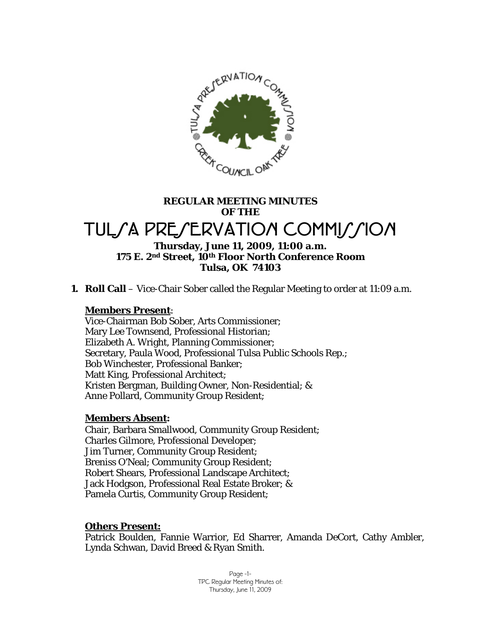

# **REGULAR MEETING MINUTES OF THE**

# TULSA PRESERVATION COMMISSION

#### **Thursday, June 11, 2009, 11:00 a.m. 175 E. 2nd Street, 10th Floor North Conference Room Tulsa, OK 74103**

**1. Roll Call** – Vice-Chair Sober called the Regular Meeting to order at 11:09 a.m.

#### **Members Present**:

Vice-Chairman Bob Sober, Arts Commissioner; Mary Lee Townsend, Professional Historian; Elizabeth A. Wright, Planning Commissioner; Secretary, Paula Wood, Professional Tulsa Public Schools Rep.; Bob Winchester, Professional Banker; Matt King, Professional Architect; Kristen Bergman, Building Owner, Non-Residential; & Anne Pollard, Community Group Resident;

#### **Members Absent:**

Chair, Barbara Smallwood, Community Group Resident; Charles Gilmore, Professional Developer; Jim Turner, Community Group Resident; Breniss O'Neal; Community Group Resident; Robert Shears, Professional Landscape Architect; Jack Hodgson, Professional Real Estate Broker; & Pamela Curtis, Community Group Resident;

#### **Others Present:**

Patrick Boulden, Fannie Warrior, Ed Sharrer, Amanda DeCort, Cathy Ambler, Lynda Schwan, David Breed & Ryan Smith.

> Page -1- TPC Regular Meeting Minutes of: Thursday, June 11, 2009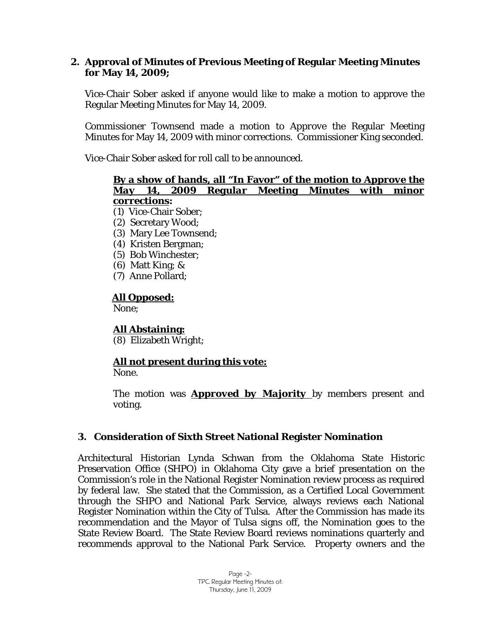#### **2. Approval of Minutes of Previous Meeting of Regular Meeting Minutes for May 14, 2009;**

Vice-Chair Sober asked if anyone would like to make a motion to approve the Regular Meeting Minutes for May 14, 2009.

Commissioner Townsend made a motion to *Approve* the Regular Meeting Minutes for May 14, 2009 with minor corrections. Commissioner King seconded.

Vice-Chair Sober asked for roll call to be announced.

#### **By a show of hands, all "In Favor" of the motion to** *Approve the May 14, 2009 Regular Meeting Minutes with minor corrections***:**

- (1) Vice-Chair Sober;
- (2) Secretary Wood;
- (3) Mary Lee Townsend;
- (4) Kristen Bergman;
- (5) Bob Winchester;
- (6) Matt King; &
- (7) Anne Pollard;

#### **All Opposed:**

None;

**All Abstaining:**

(8) Elizabeth Wright;

# **All not present during this vote:**

None.

The motion was *Approved by Majority* by members present and voting.

#### **3. Consideration of Sixth Street National Register Nomination**

Architectural Historian Lynda Schwan from the Oklahoma State Historic Preservation Office (SHPO) in Oklahoma City gave a brief presentation on the Commission's role in the National Register Nomination review process as required by federal law. She stated that the Commission, as a Certified Local Government through the SHPO and National Park Service, always reviews each National Register Nomination within the City of Tulsa. After the Commission has made its recommendation and the Mayor of Tulsa signs off, the Nomination goes to the State Review Board. The State Review Board reviews nominations quarterly and recommends approval to the National Park Service. Property owners and the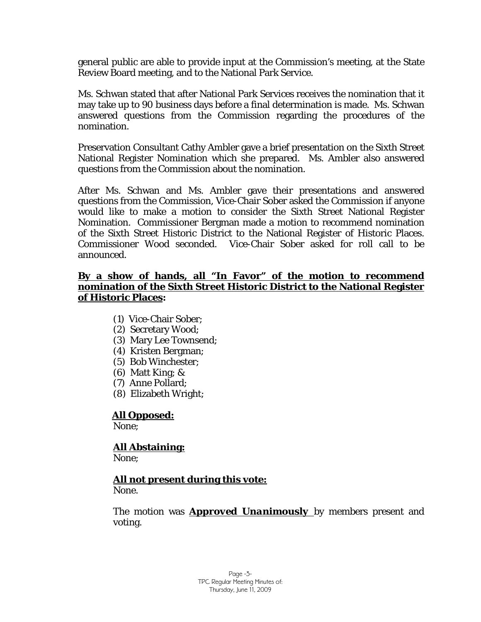general public are able to provide input at the Commission's meeting, at the State Review Board meeting, and to the National Park Service.

Ms. Schwan stated that after National Park Services receives the nomination that it may take up to 90 business days before a final determination is made. Ms. Schwan answered questions from the Commission regarding the procedures of the nomination.

Preservation Consultant Cathy Ambler gave a brief presentation on the Sixth Street National Register Nomination which she prepared. Ms. Ambler also answered questions from the Commission about the nomination.

After Ms. Schwan and Ms. Ambler gave their presentations and answered questions from the Commission, Vice-Chair Sober asked the Commission if anyone would like to make a motion to consider the Sixth Street National Register Nomination. Commissioner Bergman made a motion to recommend nomination of the Sixth Street Historic District to the National Register of Historic Places. Commissioner Wood seconded. Vice-Chair Sober asked for roll call to be announced.

#### **By a show of hands, all "In Favor" of the motion to recommend nomination of the Sixth Street Historic District to the National Register of Historic Places:**

- (1) Vice-Chair Sober;
- (2) Secretary Wood;
- (3) Mary Lee Townsend;
- (4) Kristen Bergman;
- (5) Bob Winchester;
- (6) Matt King; &
- (7) Anne Pollard;
- (8) Elizabeth Wright;

#### **All Opposed:**

None;

#### **All Abstaining:** None;

# **All not present during this vote:**

None.

The motion was *Approved Unanimously* by members present and voting.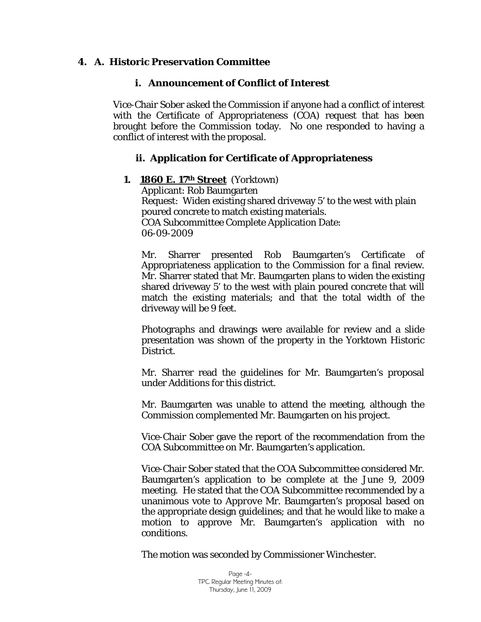#### **4. A. Historic Preservation Committee**

#### **i. Announcement of Conflict of Interest**

Vice-Chair Sober asked the Commission if anyone had a conflict of interest with the Certificate of Appropriateness (COA) request that has been brought before the Commission today. No one responded to having a conflict of interest with the proposal.

#### **ii. Application for Certificate of Appropriateness**

#### **1. 1860 E. 17th Street** (Yorktown)

Applicant: Rob Baumgarten Request: Widen existing shared driveway 5' to the west with plain poured concrete to match existing materials. COA Subcommittee Complete Application Date: 06-09-2009

Mr. Sharrer presented Rob Baumgarten's Certificate of Appropriateness application to the Commission for a final review. Mr. Sharrer stated that Mr. Baumgarten plans to widen the existing shared driveway 5' to the west with plain poured concrete that will match the existing materials; and that the total width of the driveway will be 9 feet.

Photographs and drawings were available for review and a slide presentation was shown of the property in the Yorktown Historic District.

Mr. Sharrer read the guidelines for Mr. Baumgarten's proposal under *Additions* for this district.

Mr. Baumgarten was unable to attend the meeting, although the Commission complemented Mr. Baumgarten on his project.

Vice-Chair Sober gave the report of the recommendation from the COA Subcommittee on Mr. Baumgarten's application.

Vice-Chair Sober stated that the COA Subcommittee considered Mr. Baumgarten's application to be complete at the June 9, 2009 meeting. He stated that the COA Subcommittee recommended by a unanimous vote to *Approve* Mr. Baumgarten's proposal based on the appropriate design guidelines; and that he would like to make a motion to approve Mr. Baumgarten's application with no conditions.

The motion was seconded by Commissioner Winchester.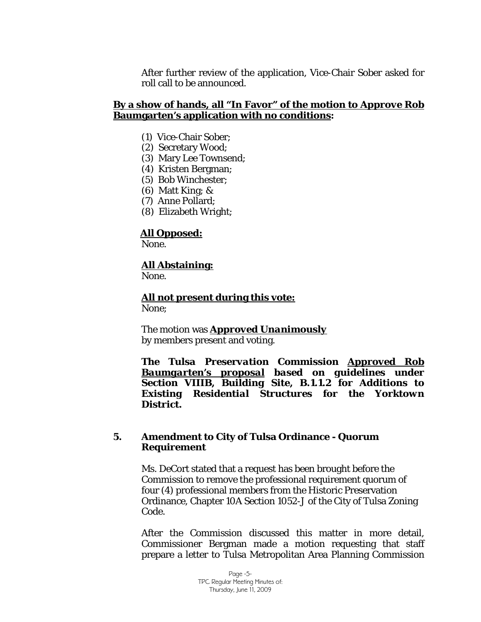After further review of the application, Vice-Chair Sober asked for roll call to be announced.

#### **By a show of hands, all "In Favor" of the motion to** *Approve* **Rob Baumgarten's application with no conditions:**

- (1) Vice-Chair Sober;
- (2) Secretary Wood;
- (3) Mary Lee Townsend;
- (4) Kristen Bergman;
- (5) Bob Winchester;
- (6) Matt King; &
- (7) Anne Pollard;
- (8) Elizabeth Wright;

#### **All Opposed:**

None.

#### **All Abstaining:**

None.

**All not present during this vote:** None;

The motion was *Approved Unanimously*

by members present and voting.

*The Tulsa Preservation Commission Approved Rob Baumgarten's proposal based on guidelines under Section VIIIB, Building Site, B.1.1.2 for Additions to Existing Residential Structures for the Yorktown District.* 

#### **5. Amendment to City of Tulsa Ordinance - Quorum Requirement**

Ms. DeCort stated that a request has been brought before the Commission to remove the professional requirement quorum of four (4) professional members from the Historic Preservation Ordinance, Chapter 10A Section 1052-J of the City of Tulsa Zoning Code.

After the Commission discussed this matter in more detail, Commissioner Bergman made a motion requesting that staff prepare a letter to Tulsa Metropolitan Area Planning Commission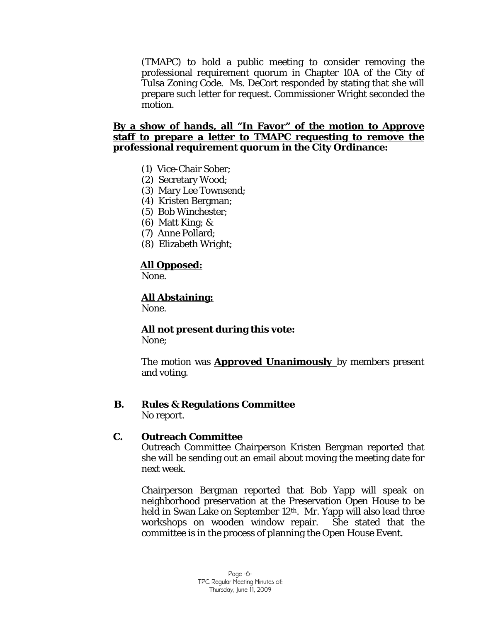(TMAPC) to hold a public meeting to consider removing the professional requirement quorum in Chapter 10A of the City of Tulsa Zoning Code. Ms. DeCort responded by stating that she will prepare such letter for request. Commissioner Wright seconded the motion.

#### **By a show of hands, all "In Favor" of the motion to** *Approve*  **staff to prepare a letter to TMAPC requesting to remove the professional requirement quorum in the City Ordinance:**

- (1) Vice-Chair Sober;
- (2) Secretary Wood;
- (3) Mary Lee Townsend;
- (4) Kristen Bergman;
- (5) Bob Winchester;
- (6) Matt King; &
- (7) Anne Pollard;
- (8) Elizabeth Wright;

### **All Opposed:**

None.

# **All Abstaining:**

None.

# **All not present during this vote:**

None;

The motion was *Approved Unanimously* by members present and voting.

# **B. Rules & Regulations Committee**

No report.

#### **C. Outreach Committee**

Outreach Committee Chairperson Kristen Bergman reported that she will be sending out an email about moving the meeting date for next week.

Chairperson Bergman reported that Bob Yapp will speak on neighborhood preservation at the Preservation Open House to be held in Swan Lake on September 12th. Mr. Yapp will also lead three workshops on wooden window repair. She stated that the committee is in the process of planning the Open House Event.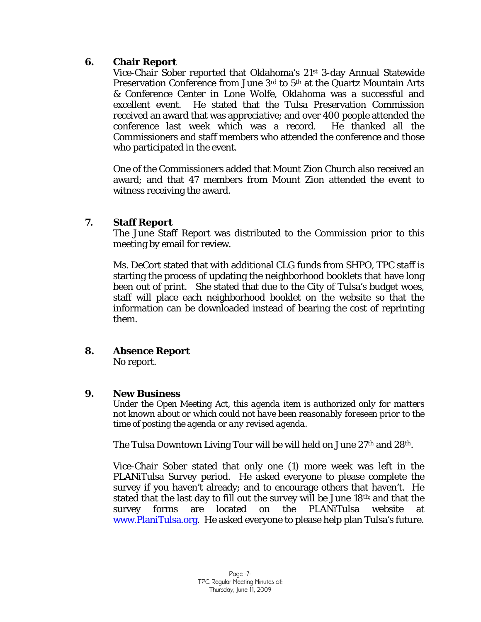#### **6. Chair Report**

Vice-Chair Sober reported that Oklahoma's 21st 3-day Annual Statewide Preservation Conference from June 3rd to 5<sup>th</sup> at the Quartz Mountain Arts & Conference Center in Lone Wolfe, Oklahoma was a successful and excellent event. He stated that the Tulsa Preservation Commission received an award that was appreciative; and over 400 people attended the conference last week which was a record. He thanked all the Commissioners and staff members who attended the conference and those who participated in the event.

One of the Commissioners added that Mount Zion Church also received an award; and that 47 members from Mount Zion attended the event to witness receiving the award.

#### **7. Staff Report**

The June Staff Report was distributed to the Commission prior to this meeting by email for review.

Ms. DeCort stated that with additional CLG funds from SHPO, TPC staff is starting the process of updating the neighborhood booklets that have long been out of print. She stated that due to the City of Tulsa's budget woes, staff will place each neighborhood booklet on the website so that the information can be downloaded instead of bearing the cost of reprinting them.

#### **8. Absence Report**

No report.

#### **9. New Business**

*Under the Open Meeting Act, this agenda item is authorized only for matters not known about or which could not have been reasonably foreseen prior to the time of posting the agenda or any revised agenda.* 

The Tulsa Downtown Living Tour will be will held on June 27<sup>th</sup> and 28<sup>th</sup>.

Vice-Chair Sober stated that only one (1) more week was left in the PLANiTulsa Survey period. He asked everyone to please complete the survey if you haven't already; and to encourage others that haven't. He stated that the last day to fill out the survey will be June 18th; and that the survey forms are located on the PLANiTulsa website at [www.PlaniTulsa.org.](http://www.planitulsa.org/) He asked everyone to please help plan Tulsa's future.